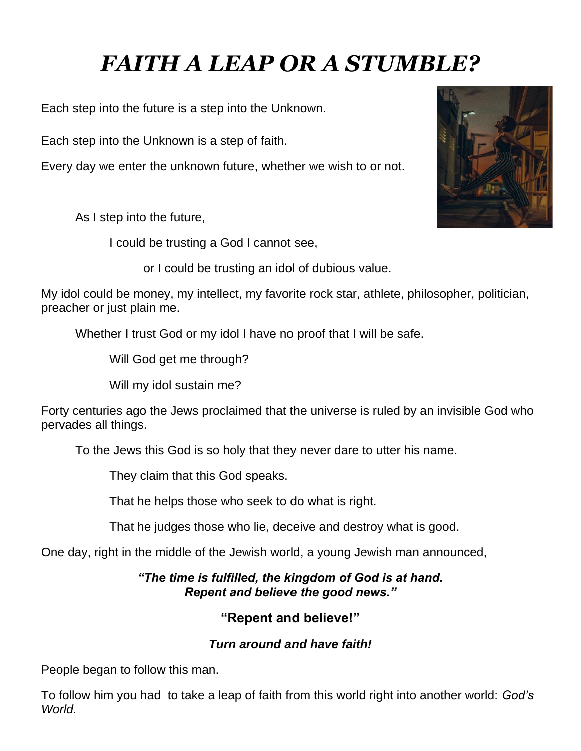# *FAITH A LEAP OR A STUMBLE?*

Each step into the future is a step into the Unknown.

Each step into the Unknown is a step of faith.

Every day we enter the unknown future, whether we wish to or not.

As I step into the future,

I could be trusting a God I cannot see,

or I could be trusting an idol of dubious value.

My idol could be money, my intellect, my favorite rock star, athlete, philosopher, politician, preacher or just plain me.

Whether I trust God or my idol I have no proof that I will be safe.

Will God get me through?

Will my idol sustain me?

Forty centuries ago the Jews proclaimed that the universe is ruled by an invisible God who pervades all things.

To the Jews this God is so holy that they never dare to utter his name.

They claim that this God speaks.

That he helps those who seek to do what is right.

That he judges those who lie, deceive and destroy what is good.

One day, right in the middle of the Jewish world, a young Jewish man announced,

#### *"The time is fulfilled, the kingdom of God is at hand. Repent and believe the good news."*

### **"Repent and believe!"**

### *Turn around and have faith!*

People began to follow this man.

To follow him you had to take a leap of faith from this world right into another world: *God's World.*

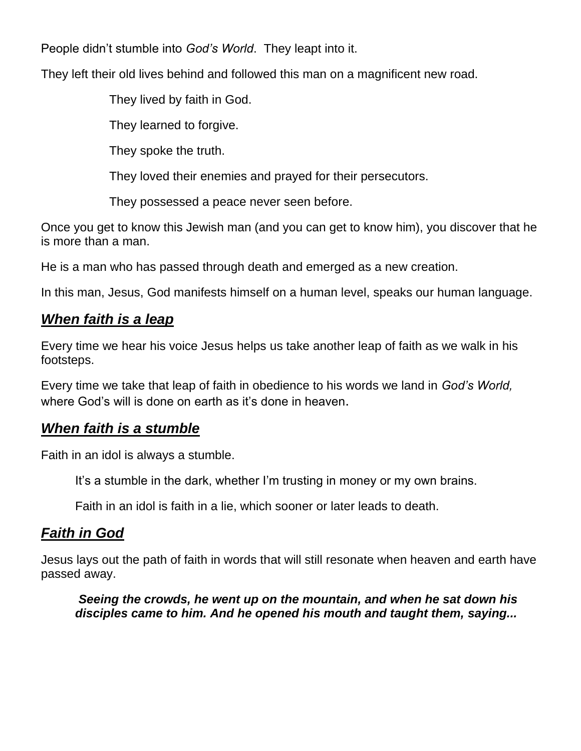People didn't stumble into *God's World*. They leapt into it.

They left their old lives behind and followed this man on a magnificent new road.

They lived by faith in God.

They learned to forgive.

They spoke the truth.

They loved their enemies and prayed for their persecutors.

They possessed a peace never seen before.

Once you get to know this Jewish man (and you can get to know him), you discover that he is more than a man.

He is a man who has passed through death and emerged as a new creation.

In this man, Jesus, God manifests himself on a human level, speaks our human language.

## *When faith is a leap*

Every time we hear his voice Jesus helps us take another leap of faith as we walk in his footsteps.

Every time we take that leap of faith in obedience to his words we land in *God's World,* where God's will is done on earth as it's done in heaven.

## *When faith is a stumble*

Faith in an idol is always a stumble.

It's a stumble in the dark, whether I'm trusting in money or my own brains.

Faith in an idol is faith in a lie, which sooner or later leads to death.

# *Faith in God*

Jesus lays out the path of faith in words that will still resonate when heaven and earth have passed away.

*Seeing the crowds, he went up on the mountain, and when he sat down his disciples came to him. And he opened his mouth and taught them, saying...*